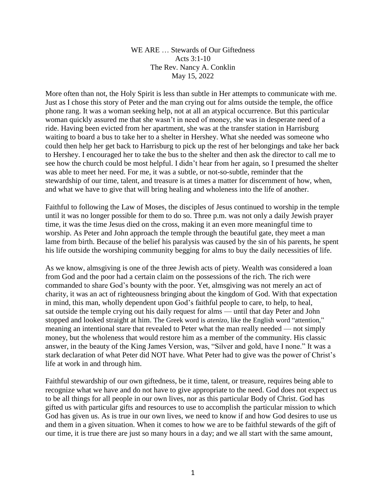WE ARE … Stewards of Our Giftedness Acts  $3:1-10$ The Rev. Nancy A. Conklin May 15, 2022

More often than not, the Holy Spirit is less than subtle in Her attempts to communicate with me. Just as I chose this story of Peter and the man crying out for alms outside the temple, the office phone rang. It was a woman seeking help, not at all an atypical occurrence. But this particular woman quickly assured me that she wasn't in need of money, she was in desperate need of a ride. Having been evicted from her apartment, she was at the transfer station in Harrisburg waiting to board a bus to take her to a shelter in Hershey. What she needed was someone who could then help her get back to Harrisburg to pick up the rest of her belongings and take her back to Hershey. I encouraged her to take the bus to the shelter and then ask the director to call me to see how the church could be most helpful. I didn't hear from her again, so I presumed the shelter was able to meet her need. For me, it was a subtle, or not-so-subtle, reminder that the stewardship of our time, talent, and treasure is at times a matter for discernment of how, when, and what we have to give that will bring healing and wholeness into the life of another.

Faithful to following the Law of Moses, the disciples of Jesus continued to worship in the temple until it was no longer possible for them to do so. Three p.m. was not only a daily Jewish prayer time, it was the time Jesus died on the cross, making it an even more meaningful time to worship. As Peter and John approach the temple through the beautiful gate, they meet a man lame from birth. Because of the belief his paralysis was caused by the sin of his parents, he spent his life outside the worshiping community begging for alms to buy the daily necessities of life.

As we know, almsgiving is one of the three Jewish acts of piety. Wealth was considered a loan from God and the poor had a certain claim on the possessions of the rich. The rich were commanded to share God's bounty with the poor. Yet, almsgiving was not merely an act of charity, it was an act of righteousness bringing about the kingdom of God. With that expectation in mind, this man, wholly dependent upon God's faithful people to care, to help, to heal, sat outside the temple crying out his daily request for alms — until that day Peter and John stopped and looked straight at him. The Greek word is *atenizo*, like the English word "attention," meaning an intentional stare that revealed to Peter what the man really needed — not simply money, but the wholeness that would restore him as a member of the community. His classic answer, in the beauty of the King James Version, was, "Silver and gold, have I none." It was a stark declaration of what Peter did NOT have. What Peter had to give was the power of Christ's life at work in and through him.

Faithful stewardship of our own giftedness, be it time, talent, or treasure, requires being able to recognize what we have and do not have to give appropriate to the need. God does not expect us to be all things for all people in our own lives, nor as this particular Body of Christ. God has gifted us with particular gifts and resources to use to accomplish the particular mission to which God has given us. As is true in our own lives, we need to know if and how God desires to use us and them in a given situation. When it comes to how we are to be faithful stewards of the gift of our time, it is true there are just so many hours in a day; and we all start with the same amount,